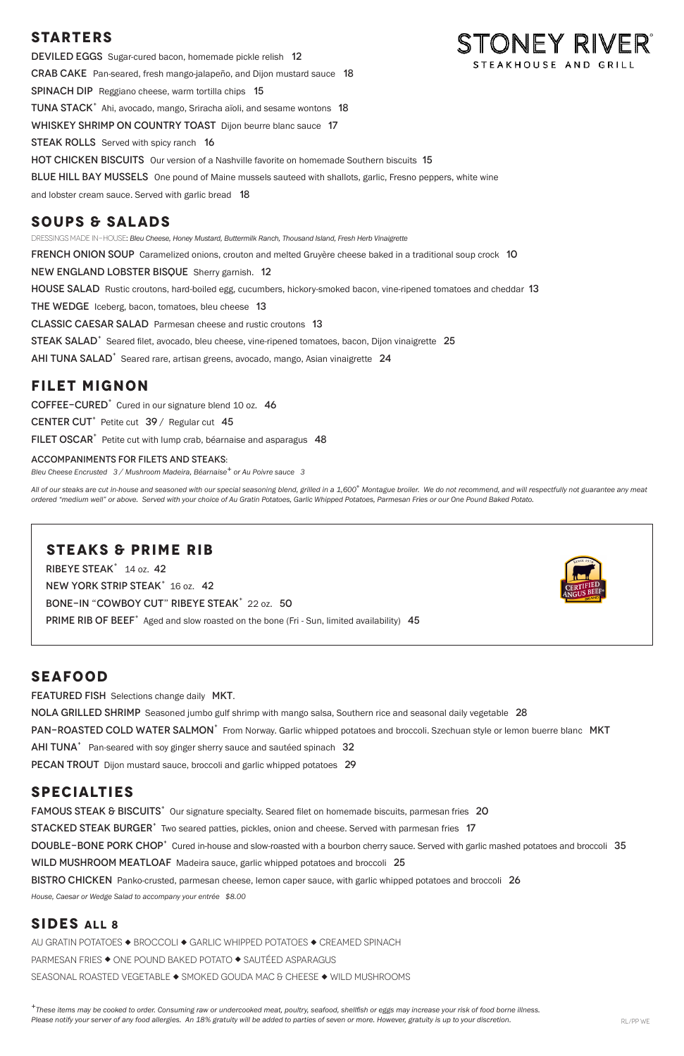# **STARTERS**

STONEY RIVER® DEVILED EGGS Sugar-cured bacon, homemade pickle relish 12 STEAKHOUSE AND GRILL Crab CakePan-seared, fresh mango-jalapeño, and Dijon mustard sauce 18 SPINACH DIP Reggiano cheese, warm tortilla chips 15 TUNA STACK<sup>+</sup> Ahi, avocado, mango, Sriracha aïoli, and sesame wontons 18 WHISKEY SHRIMP ON COUNTRY TOAST Dijon beurre blanc sauce 17 **STEAK ROLLS** Served with spicy ranch 16 hot chicken BiscuitsOur version of a Nashville favorite on homemade Southern biscuits 15 BLUE HILL BAY MUSSELS One pound of Maine mussels sauteed with shallots, garlic, Fresno peppers, white wine and lobster cream sauce. Served with garlic bread 18

DRESSINGS MADE IN-HOUSE: *Bleu Cheese, Honey Mustard, Buttermilk Ranch, Thousand Island, Fresh Herb Vinaigrette*  **FRENCH ONION SOUP** Caramelized onions, crouton and melted Gruyère cheese baked in a traditional soup crock 10 New England Lobster BisqueSherry garnish. 12 HOUSE SALAD Rustic croutons, hard-boiled egg, cucumbers, hickory-smoked bacon, vine-ripened tomatoes and cheddar 13 THE WEDGE Iceberg, bacon, tomatoes, bleu cheese 13 Classic Caesar SaladParmesan cheese and rustic croutons 13 STEAK SALAD<sup>+</sup> Seared filet, avocado, bleu cheese, vine-ripened tomatoes, bacon, Dijon vinaigrette 25 AHI TUNA SALAD<sup>+</sup> Seared rare, artisan greens, avocado, mango, Asian vinaigrette 24

# **SOUPS & SALADS**

All of our steaks are cut in-house and seasoned with our special seasoning blend, grilled in a 1,600° Montague broiler. We do not recommend, and will respectfully not guarantee any meat *ordered "medium well" or above. Served with your choice of Au Gratin Potatoes, Garlic Whipped Potatoes, Parmesan Fries or our One Pound Baked Potato.*

Ribeye Steak+ 14 oz. 42 NEW YORK STRIP STEAK<sup>+</sup> 16 oz. 42 BONE-IN "COWBOY CUT" RIBEYE STEAK<sup>+</sup> 22 oz. 50 PRIME RIB OF BEEF<sup>+</sup> Aged and slow roasted on the bone (Fri - Sun, limited availability) 45



### **FILET MIGNON**

COFFEE-CURED<sup>+</sup> Cured in our signature blend 10 oz. 46

CENTER CUT<sup>+</sup> Petite cut  $39/$  Regular cut 45

FILET OSCAR<sup>+</sup> Petite cut with lump crab, béarnaise and asparagus 48

#### ACCOMPANIMENTS FOR FILETS AND STEAKS:

*Bleu Cheese Encrusted 3 / Mushroom Madeira, Béarnaise+ or Au Poivre sauce 3*

*<sup>+</sup>These items may be cooked to order. Consuming raw or undercooked meat, poultry, seafood, shellfish or eggs may increase your risk of food borne illness.* Please notify your server of any food allergies. An 18% gratuity will be added to parties of seven or more. However, gratuity is up to your discretion.  $RLP$  RL/PP WE

### **STEAKS & PRIME RIB**

### **SEAFOOD**

**FEATURED FISH** Selections change daily MKT.

NOLA GRILLED SHRIMP Seasoned jumbo gulf shrimp with mango salsa, Southern rice and seasonal daily vegetable 28

PAN-ROASTED COLD WATER SALMON<sup>+</sup> From Norway. Garlic whipped potatoes and broccoli. Szechuan style or lemon buerre blanc MKT

AHI TUNA<sup>+</sup> Pan-seared with soy ginger sherry sauce and sautéed spinach 32

PECAN TROUT Dijon mustard sauce, broccoli and garlic whipped potatoes 29

### **SPECIALTIES**

FAMOUS STEAK & BISCUITS<sup>+</sup> Our signature specialty. Seared filet on homemade biscuits, parmesan fries 20 STACKED STEAK BURGER<sup>+</sup> Two seared patties, pickles, onion and cheese. Served with parmesan fries 17 DOUBLE-BONE PORK CHOP<sup>+</sup> Cured in-house and slow-roasted with a bourbon cherry sauce. Served with garlic mashed potatoes and broccoli 35 WILD MUSHROOM MEATLOAF Madeira sauce, garlic whipped potatoes and broccoli 25 BISTRO CHICKEN Panko-crusted, parmesan cheese, lemon caper sauce, with garlic whipped potatoes and broccoli 26

*House, Caesar or Wedge Salad to accompany your entrée \$8.00* 

### **SIDES ALL 8**

AU GRATIN POTATOES ◆ BROCCOLI ◆ GARLIC WHIPPED POTATOES ◆ CREAMED SPINACH PARMESAN FRIES ◆ ONE POUND BAKED POTATO ◆ SAUTÉED ASPARAGUS SEASONAL ROASTED VEGETABLE ◆ SMOKED GOUDA MAC & CHEESE ◆ WILD MUSHROOMS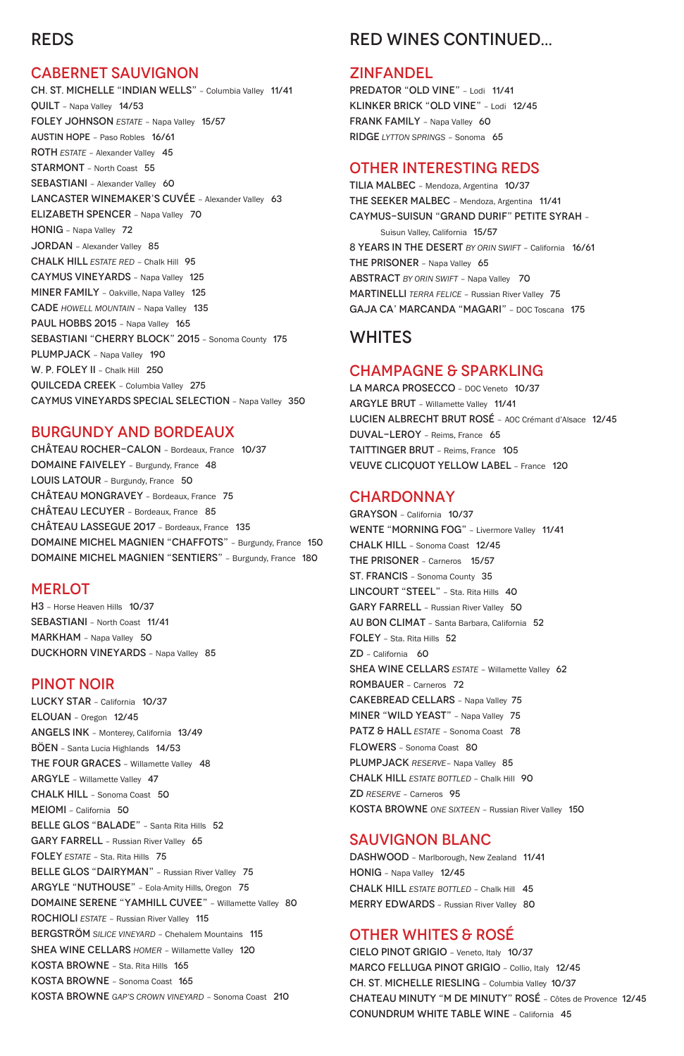# REDS

#### CABERNET SAUVIGNON

CH. ST. MICHELLE "INDIAN WELLS" – Columbia Valley 11/41 QUILT – Napa Valley 14/53 FOLEY JOHNSON *ESTATE* – Napa Valley 15/57 austin hope – Paso Robles 16/61 ROTH *ESTATE* – Alexander Valley 45 STARMONT – North Coast 55 SEBASTIANI - Alexander Valley 60 LANCASTER WINEMAKER'S CUVÉE – Alexander Valley 63 ELIZABETH SPENCER – Napa Valley 70 HONIG – Napa Valley 72 JORDAN – Alexander Valley 85 CHALK HILL *ESTATE RED* – Chalk Hill 95 CAYMUS VINEYARDS – Napa Valley 125 MINER FAMILY – Oakville, Napa Valley 125 CADE *HOWELL MOUNTAIN* – Napa Valley 135 PAUL HOBBS 2015 - Napa Valley 165 SEBASTIANI "CHERRY BLOCK" 2015 – Sonoma County 175 PLUMPJACK - Napa Valley 190 W. P. FOLEY II - Chalk Hill 250 QUILCEDA CREEK – Columbia Valley 275 CAYMUS VINEYARDS SPECIAL SELECTION – Napa Valley 350

#### BURGUNDY AND BORDEAUX

CHÂTEAU ROCHER-CALON – Bordeaux, France 10/37 DOMAINE FAIVELEY – Burgundy, France 48 LOUIS LATOUR - Burgundy, France 50 CHÂTEAU MONGRAVEY – Bordeaux, France 75 CHÂTEAU LECUYER – Bordeaux, France 85 CHÂTEAU LASSEGUE 2017 – Bordeaux, France 135 DOMAINE MICHEL MAGNIEN "CHAFFOTS" – Burgundy, France 150 DOMAINE MICHEL MAGNIEN "SENTIERS" – Burgundy, France 180

#### **MERLOT**

PREDATOR "OLD VINE" - Lodi 11/41 KLINKER BRICK "OLD VINE" – Lodi 12/45 FRANK FAMILY - Napa Valley 60 RIDGE *LYTTON SPRINGS* – Sonoma 65

H3 – Horse Heaven Hills 10/37 SEBASTIANI – North Coast 11/41 MARKHAM - Napa Valley 50 DUCKHORN VINEYARDS – Napa Valley 85

#### PINOT NOIR

LA MARCA PROSECCO - DOC Veneto 10/37 ARGYLE BRUT – Willamette Valley 11/41 LUCIEN ALBRECHT BRUT ROSÉ – AOC Crémant d'Alsace 12/45 DUVAL-LEROY – Reims, France 65 TAITTINGER BRUT – Reims, France 105 VEUVE CLICQUOT YELLOW LABEL – France 120

#### **CHARDONNAY**

LUCKY STAR – California 10/37 ELOUAN – Oregon 12/45 ANGELS INK – Monterey, California 13/49 BÖEN – Santa Lucia Highlands 14/53 THE FOUR GRACES - Willamette Valley 48 ARGYLE – Willamette Valley 47 CHALK HILL – Sonoma Coast 50 MEIOMI – California 50 BELLE GLOS "BALADE" - Santa Rita Hills 52 GARY FARRELL – Russian River Valley 65 FOLEY *ESTATE* – Sta. Rita Hills 75 BELLE GLOS "DAIRYMAN" - Russian River Valley 75 ARGYLE "NUTHOUSE" – Eola-Amity Hills, Oregon 75 DOMAINE SERENE "YAMHILL CUVEE" – Willamette Valley 80 ROCHIOLI *ESTATE* – Russian River Valley 115 BERGSTRÖM *SILICE VINEYARD* – Chehalem Mountains 115 SHEA WINE CELLARS *HOMER* – Willamette Valley 120 KOSTA BROWNE – Sta. Rita Hills 165 KOSTA BROWNE – Sonoma Coast 165 KOSTA BROWNE *GAP'S CROWN VINEYARD* – Sonoma Coast 210

DASHWOOD - Marlborough, New Zealand 11/41 HONIG – Napa Valley 12/45 CHALK HILL *ESTATE BOTTLED* – Chalk Hill 45 MERRY EDWARDS – Russian River Valley 80

# RED WINES CONTINUED...

#### **ZINFANDEL**

#### OTHER INTERESTING REDS

TILIA MALBEC – Mendoza, Argentina 10/37 THE SEEKER MALBEC – Mendoza, Argentina 11/41 CAYMUS-SUISUN "GRAND DURIF" PETITE SYRAH – Suisun Valley, California 15/57 8 YEARS IN THE DESERT *BY ORIN SWIFT* – California 16/61 THE PRISONER - Napa Valley 65 ABSTRACT *BY ORIN SWIFT* – Napa Valley 70 MARTINELLI *TERRA FELICE* – Russian River Valley 75 GAJA CA' MARCANDA "MAGARI" – DOC Toscana 175

### WHITES

### CHAMPAGNE & SPARKLING

GRAYSON – California 10/37 WENTE "MORNING FOG" - Livermore Valley 11/41 CHALK HILL – Sonoma Coast 12/45 THE PRISONER – Carneros 15/57 ST. FRANCIS – Sonoma County 35 LINCOURT "STEEL" - Sta. Rita Hills 40 GARY FARRELL – Russian River Valley 50 AU BON CLIMAT – Santa Barbara, California 52 FOLEY – Sta. Rita Hills 52 ZD – California 60 SHEA WINE CELLARS **ESTATE** - Willamette Valley 62 ROMBAUER – Carneros 72 CAKEBREAD CELLARS – Napa Valley 75 MINER "WILD YEAST" - Napa Valley 75 PATZ & HALL *ESTATE* – Sonoma Coast 78 FLOWERS – Sonoma Coast 80 PLUMPJACK *RESERVE*– Napa Valley 85 CHALK HILL *ESTATE BOTTLED* – Chalk Hill 90 ZD *RESERVE* – Carneros 95 KOSTA BROWNE *ONE SIXTEEN* – Russian River Valley 150

#### SAUVIGNON BLANC

# OTHER WHITES & ROSÉ

CIELO PINOT GRIGIO – Veneto, Italy 10/37 MARCO FELLUGA PINOT GRIGIO – Collio, Italy 12/45 CH. ST. MICHELLE RIESLING – Columbia Valley 10/37 CHATEAU MINUTY "M DE MINUTY" ROSÉ – Côtes de Provence 12/45 CONUNDRUM WHITE TABLE WINE – California 45